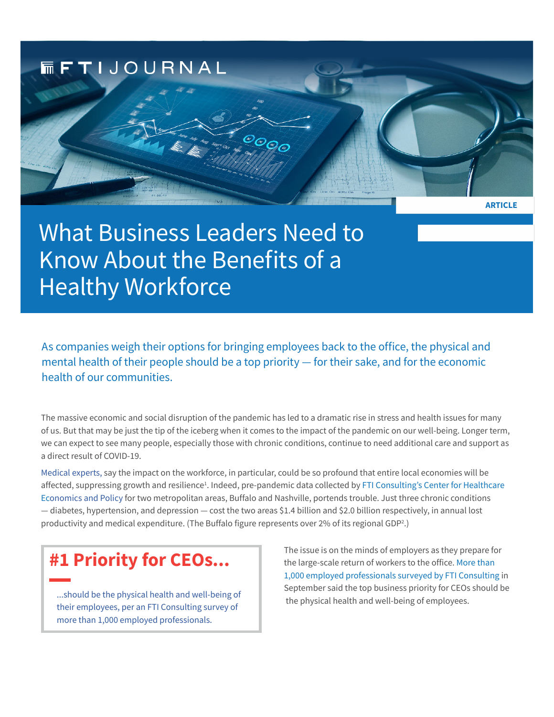**MFTIJOURNAL** 

# What Business Leaders Need to Know About the Benefits of a Healthy Workforce

As companies weigh their options for bringing employees back to the office, the physical and mental health of their people should be a top priority — for their sake, and for the economic health of our communities.

 ${}^{{}^{{}^\circ}\hspace{-1pt} {\mathcal O}}\hspace{-1pt} {\mathcal O}}_{{}^{{}^\circ}\hspace{-1pt} {\mathcal O}}\hspace{-1pt} {\mathcal O}}$ 

The massive economic and social disruption of the pandemic has led to a dramatic rise in stress and health issues for many of us. But that may be just the tip of the iceberg when it comes to the impact of the pandemic on our well-being. Longer term, we can expect to see many people, especially those with chronic conditions, continue to need additional care and support as a direct result of COVID-19.

[Medical expert](https://www.nationalforum.org/wp-content/uploads/2021/12/NF_5thSignatureReport_Final_12.16.21.pdf)s, say the impact on the workforce, in particular, could be so profound that entire local economies will be affected, suppressing growth and resilience<sup>1</sup>. Indeed, pre-pandemic data collected by FTI Consulting's Center for Healthcare E[conomics and Polic](https://www.fticonsulting.com/insights/articles/health-economic-impact-covid-19)y for two metropolitan areas, Buffalo and Nashville, portends trouble. Just three chronic conditions — diabetes, hypertension, and depression — cost the two areas \$1.4 billion and \$2.0 billion respectively, in annual lost productivity and medical expenditure. (The Buffalo figure represents over 2% of its regional GDP<sup>2</sup> .)

# **#1 Priority for CEOs...**

...should be the physical health and well-being of their employees, per an FTI Consulting survey of more than 1,000 employed professionals.

The issue is on the minds of employers as they prepare for the large-scale return of workers to the office. [More than](https://stage1.fticonsulting.com/insights/articles/ceo-leadership-redefined-part-1)  [1,000 employed professionals surveyed by FTI Consulting](https://stage1.fticonsulting.com/insights/articles/ceo-leadership-redefined-part-1) in September said the top business priority for CEOs should be the physical health and well-being of employees.

**ARTICLE**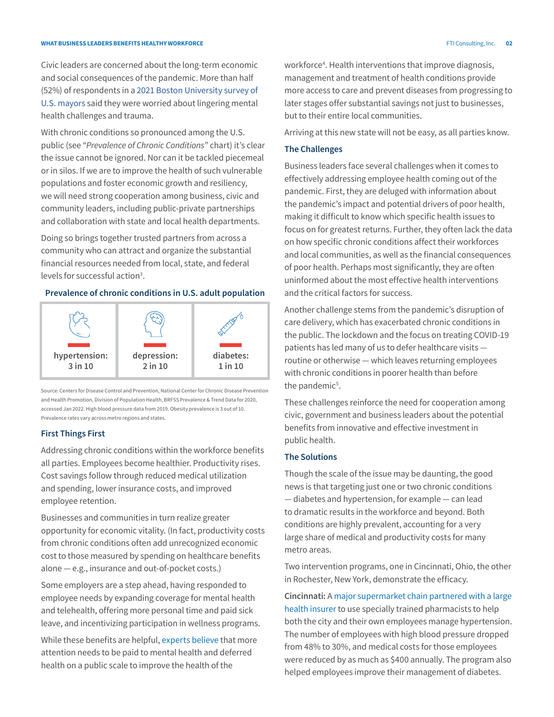Civic leaders are concerned about the long-term economic and social consequences of the pandemic. More than half (52%) of respondents in a [2021 Boston University survey of](https://www.surveyofmayors.com/files/2021/11/2021-Menino-Survey-BBB-Report.pdf)  [U.S. mayors](https://www.surveyofmayors.com/files/2021/11/2021-Menino-Survey-BBB-Report.pdf) said they were worried about lingering mental health challenges and trauma.

With chronic conditions so pronounced among the U.S. public (see "*Prevalence of Chronic Conditions*" chart) it's clear the issue cannot be ignored. Nor can it be tackled piecemeal or in silos. If we are to improve the health of such vulnerable populations and foster economic growth and resiliency, we will need strong cooperation among business, civic and community leaders, including public-private partnerships and collaboration with state and local health departments.

Doing so brings together trusted partners from across a community who can attract and organize the substantial financial resources needed from local, state, and federal levels for successful action<sup>3</sup>.

# **Prevalence of chronic conditions in U.S. adult population**



Source: Centers for Disease Control and Prevention, National Center for Chronic Disease Prevention and Health Promotion, Division of Population Health, BRFSS Prevalence & Trend Data for 2020, accessed Jan 2022. High blood pressure data from 2019. Obesity prevalence is 3 out of 10. Prevalence rates vary across metro regions and states.

### **First Things First**

Addressing chronic conditions within the workforce benefits all parties. Employees become healthier. Productivity rises. Cost savings follow through reduced medical utilization and spending, lower insurance costs, and improved employee retention.

Businesses and communities in turn realize greater opportunity for economic vitality. (In fact, productivity costs from chronic conditions often add unrecognized economic cost to those measured by spending on healthcare benefits alone — e.g., insurance and out-of-pocket costs.)

Some employers are a step ahead, having responded to employee needs by expanding coverage for mental health and telehealth, offering more personal time and paid sick leave, and incentivizing participation in wellness programs.

While these benefits are helpful, [experts believe](https://files.kff.org/attachment/Summary-of-Findings-Employer-Health-Benefits-2021.pdf) that more attention needs to be paid to mental health and deferred health on a public scale to improve the health of the

workforce<sup>4</sup>. Health interventions that improve diagnosis, management and treatment of health conditions provide more access to care and prevent diseases from progressing to later stages offer substantial savings not just to businesses, but to their entire local communities.

Arriving at this new state will not be easy, as all parties know.

#### **The Challenges**

Business leaders face several challenges when it comes to effectively addressing employee health coming out of the pandemic. First, they are deluged with information about the pandemic's impact and potential drivers of poor health, making it difficult to know which specific health issues to focus on for greatest returns. Further, they often lack the data on how specific chronic conditions affect their workforces and local communities, as well as the financial consequences of poor health. Perhaps most significantly, they are often uninformed about the most effective health interventions and the critical factors for success.

Another challenge stems from the pandemic's disruption of care delivery, which has exacerbated chronic conditions in the public. The lockdown and the focus on treating COVID-19 patients has led many of us to defer healthcare visits routine or otherwise — which leaves returning employees with chronic conditions in poorer health than before the pandemic<sup>5</sup>.

These challenges reinforce the need for cooperation among civic, government and business leaders about the potential benefits from innovative and effective investment in public health.

## **The Solutions**

Though the scale of the issue may be daunting, the good news is that targeting just one or two chronic conditions — diabetes and hypertension, for example — can lead to dramatic results in the workforce and beyond. Both conditions are highly prevalent, accounting for a very large share of medical and productivity costs for many metro areas.

Two intervention programs, one in Cincinnati, Ohio, the other in Rochester, New York, demonstrate the efficacy.

**Cincinnati:** A [major supermarket chain partnered with a large](https://www.drugtopics.com/view/pharmacy-coaching-program-improves-ohio-health-scores)  [health insurer](https://www.drugtopics.com/view/pharmacy-coaching-program-improves-ohio-health-scores) to use specially trained pharmacists to help both the city and their own employees manage hypertension. The number of employees with high blood pressure dropped from 48% to 30%, and medical costs for those employees were reduced by as much as \$400 annually. The program also helped employees improve their management of diabetes.